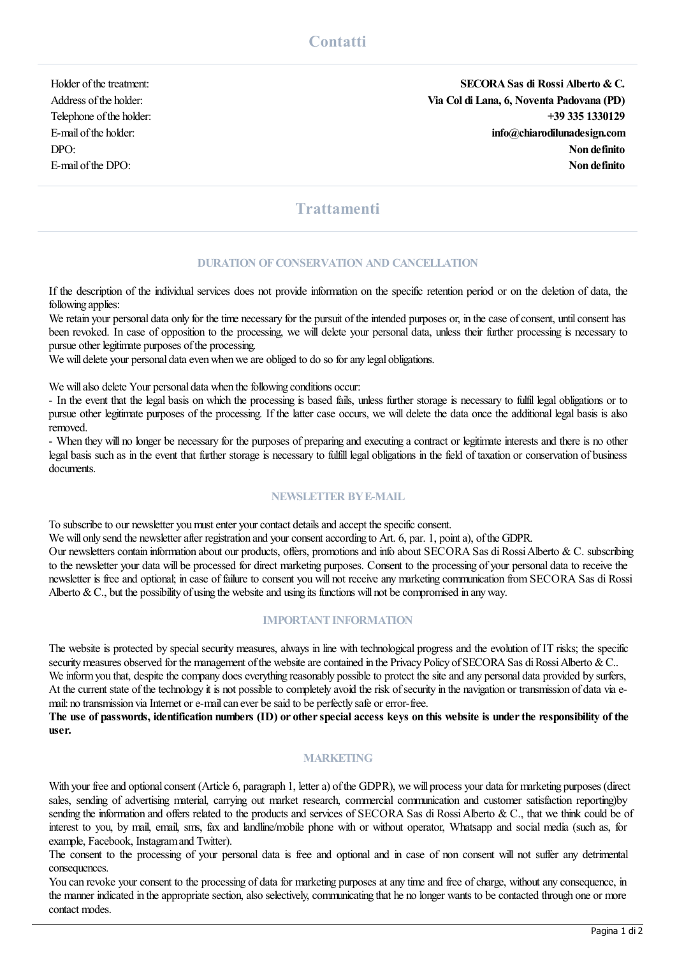Holder ofthetreatment: **SECORASas di Rossi Alberto &C.** Address ofthe holder: **Via Col di Lana, 6, Noventa Padovana (PD)** Telephone ofthe holder: **+39 335 1330129** E-mail ofthe holder: **info@chiarodilunadesign.com** DPO: **Non definito** E-mail ofthe DPO: **Non definito**

# **Trattamenti**

#### **DURATION OFCONSERVATION AND CANCELLATION**

If the description of the individual services does not provide information on the specific retention period or on the deletion of data, the following applies:

We retain your personal data only for the time necessary for the pursuit of the intended purposes or, in the case of consent, until consent has been revoked. In case of opposition to the processing, we will delete your personal data, unless their further processing is necessary to pursue other legitimate purposes of the processing.

We will delete your personal data even when we are obliged to do so for any legal obligations.

We will also delete Your personal data when the following conditions occur:

- In the event that the legal basis on which the processing is based fails, unless further storage is necessary to fulfil legal obligations or to pursue other legitimate purposes of the processing. If the latter case occurs, we will delete the data once the additional legal basis is also removed.

- When they will no longer be necessary for the purposes of preparing and executing a contract or legitimate interests and there is no other legal basis such as in the event that further storage is necessary to fulfill legal obligations in the field of taxation or conservation of business documents.

## **NEWSLETTER BYE-MAIL**

To subscribe to our newsletter you must enter your contact details and accept the specific consent.

We will only send the newsletter after registration and your consent according to Art. 6, par. 1, point a), of the GDPR.

Our newsletters contain information about our products, offers, promotions and info about SECORA Sas di Rossi Alberto & C. subscribing to the newsletter your data will be processed for direct marketing purposes. Consent to the processing of your personal data to receive the newsletter is free and optional; in case of failure to consent you will not receive any marketing communication fromSECORA Sas di Rossi Alberto & C., but the possibility of using the website and using its functions will not be compromised in any way.

#### **IMPORTANT INFORMATION**

The website is protected by special security measures, always in line with technological progress and the evolution of IT risks; the specific security measures observed for the management of the website are contained in the Privacy Policy of SECORA Sas di Rossi Alberto & C.. We inform you that, despite the company does everything reasonably possible to protect the site and any personal data provided by surfers, At the current state of the technology it is not possible to completely avoid the risk of security in the navigation or transmission of data via email: no transmission via Internet or e-mail can ever be said to be perfectly safe or error-free.

The use of passwords, identification numbers (ID) or other special access keys on this website is under the responsibility of the **user.**

## **MARKETING**

With your free and optional consent (Article 6, paragraph 1, letter a) of the GDPR), we will process your data for marketing purposes (direct sales, sending of advertising material, carrying out market research, commercial communication and customer satisfaction reporting)by sending the information and offers related to the products and services of SECORA Sas di Rossi Alberto & C., that we think could be of interest to you, by mail, email, sms, fax and landline/mobile phone with or without operator, Whatsapp and social media (such as, for example, Facebook, Instagramand Twitter).

The consent to the processing of your personal data is free and optional and in case of non consent will not suffer any detrimental consequences.

You can revoke your consent to the processing of data for marketing purposes at any time and free of charge, without any consequence, in the manner indicated in the appropriate section, also selectively, communicating that he no longer wants to be contacted through one or more contact modes.